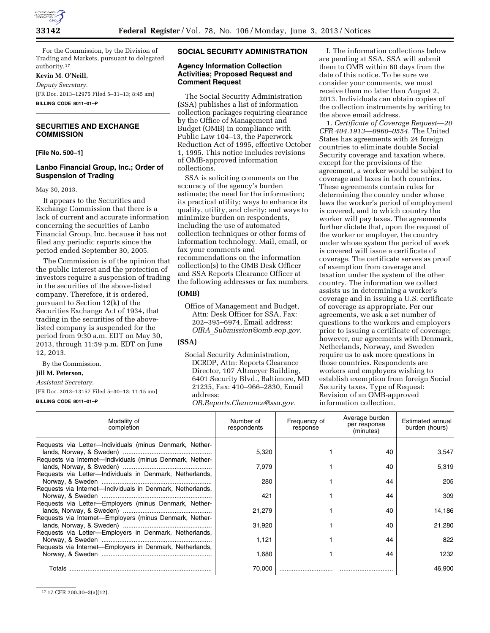

For the Commission, by the Division of Trading and Markets, pursuant to delegated authority.17

## **Kevin M. O'Neill,**

*Deputy Secretary.* 

[FR Doc. 2013–12975 Filed 5–31–13; 8:45 am] **BILLING CODE 8011–01–P** 

**SECURITIES AND EXCHANGE COMMISSION** 

**[File No. 500–1]** 

## **Lanbo Financial Group, Inc.; Order of Suspension of Trading**

May 30, 2013.

It appears to the Securities and Exchange Commission that there is a lack of current and accurate information concerning the securities of Lanbo Financial Group, Inc. because it has not filed any periodic reports since the period ended September 30, 2005.

The Commission is of the opinion that the public interest and the protection of investors require a suspension of trading in the securities of the above-listed company. Therefore, it is ordered, pursuant to Section 12(k) of the Securities Exchange Act of 1934, that trading in the securities of the abovelisted company is suspended for the period from 9:30 a.m. EDT on May 30, 2013, through 11:59 p.m. EDT on June 12, 2013.

By the Commission.

## **Jill M. Peterson,**

*Assistant Secretary.* 

[FR Doc. 2013–13157 Filed 5–30–13; 11:15 am] **BILLING CODE 8011–01–P** 

**SOCIAL SECURITY ADMINISTRATION** 

### **Agency Information Collection Activities; Proposed Request and Comment Request**

The Social Security Administration (SSA) publishes a list of information collection packages requiring clearance by the Office of Management and Budget (OMB) in compliance with Public Law 104–13, the Paperwork Reduction Act of 1995, effective October 1, 1995. This notice includes revisions of OMB-approved information collections.

SSA is soliciting comments on the accuracy of the agency's burden estimate; the need for the information; its practical utility; ways to enhance its quality, utility, and clarity; and ways to minimize burden on respondents, including the use of automated collection techniques or other forms of information technology. Mail, email, or fax your comments and recommendations on the information collection(s) to the OMB Desk Officer and SSA Reports Clearance Officer at the following addresses or fax numbers.

# **(OMB)**

Office of Management and Budget, Attn: Desk Officer for SSA, Fax: 202–395–6974, Email address: *OIRA*\_*[Submission@omb.eop.gov.](mailto:OIRA_Submission@omb.eop.gov)* 

# **(SSA)**

Social Security Administration, DCRDP, Attn: Reports Clearance Director, 107 Altmeyer Building, 6401 Security Blvd., Baltimore, MD 21235, Fax: 410–966–2830, Email address:

*[OR.Reports.Clearance@ssa.gov.](mailto:OR.Reports.Clearance@ssa.gov)* 

I. The information collections below are pending at SSA. SSA will submit them to OMB within 60 days from the date of this notice. To be sure we consider your comments, we must receive them no later than August 2, 2013. Individuals can obtain copies of the collection instruments by writing to the above email address.

1. *Certificate of Coverage Request—20 CFR 404.1913—0960–0554.* The United States has agreements with 24 foreign countries to eliminate double Social Security coverage and taxation where, except for the provisions of the agreement, a worker would be subject to coverage and taxes in both countries. These agreements contain rules for determining the country under whose laws the worker's period of employment is covered, and to which country the worker will pay taxes. The agreements further dictate that, upon the request of the worker or employer, the country under whose system the period of work is covered will issue a certificate of coverage. The certificate serves as proof of exemption from coverage and taxation under the system of the other country. The information we collect assists us in determining a worker's coverage and in issuing a U.S. certificate of coverage as appropriate. Per our agreements, we ask a set number of questions to the workers and employers prior to issuing a certificate of coverage; however, our agreements with Denmark, Netherlands, Norway, and Sweden require us to ask more questions in those countries. Respondents are workers and employers wishing to establish exemption from foreign Social Security taxes. Type of Request: Revision of an OMB-approved information collection.

| Modality of<br>completion                                  | Number of<br>respondents | Frequency of<br>response | Average burden<br>per response<br>(minutes) | Estimated annual<br>burden (hours) |
|------------------------------------------------------------|--------------------------|--------------------------|---------------------------------------------|------------------------------------|
| Requests via Letter-Individuals (minus Denmark, Nether-    | 5,320                    |                          | 40                                          | 3,547                              |
| Requests via Internet-Individuals (minus Denmark, Nether-  | 7,979                    |                          | 40                                          | 5,319                              |
| Requests via Letter-Individuals in Denmark, Netherlands,   | 280                      |                          | 44                                          | 205                                |
| Requests via Internet-Individuals in Denmark, Netherlands, | 421                      |                          | 44                                          | 309                                |
| Requests via Letter-Employers (minus Denmark, Nether-      | 21,279                   |                          | 40                                          | 14,186                             |
| Requests via Internet-Employers (minus Denmark, Nether-    | 31,920                   |                          | 40                                          | 21,280                             |
| Requests via Letter-Employers in Denmark, Netherlands,     | 1,121                    |                          | 44                                          | 822                                |
| Requests via Internet-Employers in Denmark, Netherlands,   | 1,680                    |                          | 44                                          | 1232                               |
|                                                            | 70.000                   |                          |                                             | 46.900                             |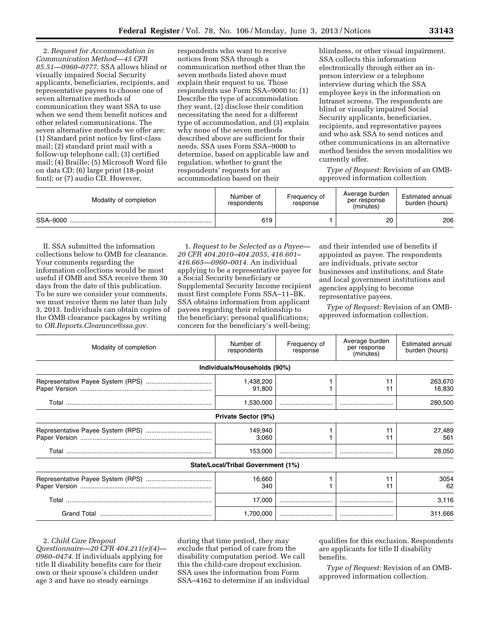2. *Request for Accommodation in Communication Method—45 CFR 85.51—0960–0777.* SSA allows blind or visually impaired Social Security applicants, beneficiaries, recipients, and representative payees to choose one of seven alternative methods of communication they want SSA to use when we send them benefit notices and other related communications. The seven alternative methods we offer are: (1) Standard print notice by first-class mail; (2) standard print mail with a follow-up telephone call; (3) certified mail; (4) Braille; (5) Microsoft Word file on data CD; (6) large print (18-point font); or (7) audio CD. However,

respondents who want to receive notices from SSA through a communication method other than the seven methods listed above must explain their request to us. Those respondents use Form SSA–9000 to: (1) Describe the type of accommodation they want, (2) disclose their condition necessitating the need for a different type of accommodation, and (3) explain why none of the seven methods described above are sufficient for their needs. SSA uses Form SSA–9000 to determine, based on applicable law and regulation, whether to grant the respondents' requests for an accommodation based on their

blindness, or other visual impairment. SSA collects this information electronically through either an inperson interview or a telephone interview during which the SSA employee keys in the information on Intranet screens. The respondents are blind or visually impaired Social Security applicants, beneficiaries, recipients, and representative payees and who ask SSA to send notices and other communications in an alternative method besides the seven modalities we currently offer.

*Type of Request:* Revision of an OMBapproved information collection

| Modality of completion | Number of<br>respondents | Frequency of<br>response | Average burden<br>per response<br>(minutes) | Estimated annual<br>burden (hours) |
|------------------------|--------------------------|--------------------------|---------------------------------------------|------------------------------------|
| SSA-9000               | 619                      |                          | 20                                          | 206                                |

II. SSA submitted the information collections below to OMB for clearance. Your comments regarding the information collections would be most useful if OMB and SSA receive them 30 days from the date of this publication. To be sure we consider your comments, we must receive them no later than July 3, 2013. Individuals can obtain copies of the OMB clearance packages by writing to *[OR.Reports.Clearance@ssa.gov.](mailto:OR.Reports.Clearance@ssa.gov)* 

1. *Request to be Selected as a Payee— 20 CFR 404.2010–404.2055, 416.601– 416.665—0960–0014.* An individual applying to be a representative payee for a Social Security beneficiary or Supplemental Security Income recipient must first complete Form SSA–11–BK. SSA obtains information from applicant payees regarding their relationship to the beneficiary; personal qualifications; concern for the beneficiary's well-being;

and their intended use of benefits if appointed as payee. The respondents are individuals, private sector businesses and institutions, and State and local government institutions and agencies applying to become representative payees.

*Type of Request:* Revision of an OMBapproved information collection.

| Modality of completion | Number of<br>respondents           | Frequency of<br>response | Average burden<br>per response<br>(minutes) | Estimated annual<br>burden (hours) |
|------------------------|------------------------------------|--------------------------|---------------------------------------------|------------------------------------|
|                        | Individuals/Households (90%)       |                          |                                             |                                    |
|                        | 1,438,200<br>91,800                |                          | 11<br>11                                    | 263,670<br>16,830                  |
|                        | 1,530,000                          |                          |                                             | 280,500                            |
|                        | Private Sector (9%)                |                          |                                             |                                    |
|                        | 149,940<br>3,060                   |                          | 11<br>11                                    | 27,489<br>561                      |
|                        | 153,000                            |                          |                                             | 28,050                             |
|                        | State/Local/Tribal Government (1%) |                          |                                             |                                    |
|                        | 16.660<br>340                      |                          | 11<br>11                                    | 3054<br>62                         |
|                        | 17,000                             |                          |                                             | 3,116                              |
|                        | 1,700,000                          |                          |                                             | 311,666                            |

#### 2. *Child Care Dropout*

*Questionnaire—20 CFR 404.211(e)(4)— 0960–0474.* If individuals applying for title II disability benefits care for their own or their spouse's children under age 3 and have no steady earnings

during that time period, they may exclude that period of care from the disability computation period. We call this the child-care dropout exclusion. SSA uses the information from Form SSA–4162 to determine if an individual qualifies for this exclusion. Respondents are applicants for title II disability benefits.

*Type of Request:* Revision of an OMBapproved information collection.